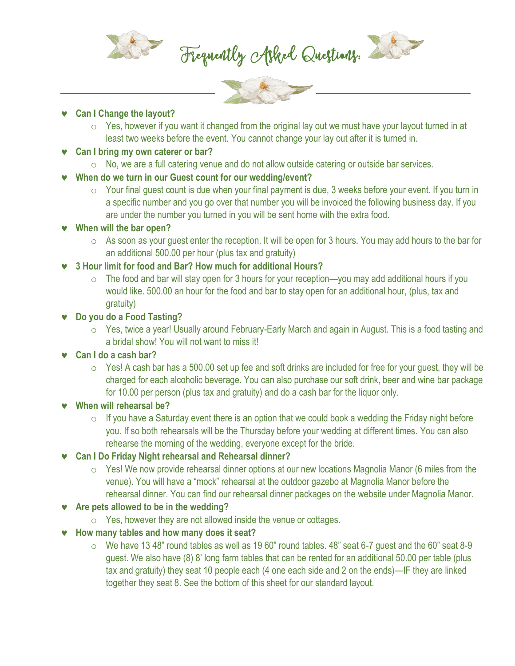

Frequently Asked Questions:





 $\circ$  Yes, however if you want it changed from the original lay out we must have your layout turned in at least two weeks before the event. You cannot change your lay out after it is turned in.

#### **Can I bring my own caterer or bar?**

o No, we are a full catering venue and do not allow outside catering or outside bar services.

# **When do we turn in our Guest count for our wedding/event?**

o Your final guest count is due when your final payment is due, 3 weeks before your event. If you turn in a specific number and you go over that number you will be invoiced the following business day. If you are under the number you turned in you will be sent home with the extra food.

# **When will the bar open?**

o As soon as your guest enter the reception. It will be open for 3 hours. You may add hours to the bar for an additional 500.00 per hour (plus tax and gratuity)

# j **3 Hour limit for food and Bar? How much for additional Hours?**

 $\circ$  The food and bar will stay open for 3 hours for your reception—you may add additional hours if you would like. 500.00 an hour for the food and bar to stay open for an additional hour, (plus, tax and gratuity)

# **Do you do a Food Tasting?**

o Yes, twice a year! Usually around February-Early March and again in August. This is a food tasting and a bridal show! You will not want to miss it!

# j **Can I do a cash bar?**

 $\circ$  Yes! A cash bar has a 500.00 set up fee and soft drinks are included for free for your guest, they will be charged for each alcoholic beverage. You can also purchase our soft drink, beer and wine bar package for 10.00 per person (plus tax and gratuity) and do a cash bar for the liquor only.

# **When will rehearsal be?**

 $\circ$  If you have a Saturday event there is an option that we could book a wedding the Friday night before you. If so both rehearsals will be the Thursday before your wedding at different times. You can also rehearse the morning of the wedding, everyone except for the bride.

# j **Can I Do Friday Night rehearsal and Rehearsal dinner?**

o Yes! We now provide rehearsal dinner options at our new locations Magnolia Manor (6 miles from the venue). You will have a "mock" rehearsal at the outdoor gazebo at Magnolia Manor before the rehearsal dinner. You can find our rehearsal dinner packages on the website under Magnolia Manor.

# Are pets allowed to be in the wedding?

o Yes, however they are not allowed inside the venue or cottages.

# $\bullet$  How many tables and how many does it seat?

 $\circ$  We have 13 48" round tables as well as 19 60" round tables. 48" seat 6-7 guest and the 60" seat 8-9 guest. We also have (8) 8' long farm tables that can be rented for an additional 50.00 per table (plus tax and gratuity) they seat 10 people each (4 one each side and 2 on the ends)—IF they are linked together they seat 8. See the bottom of this sheet for our standard layout.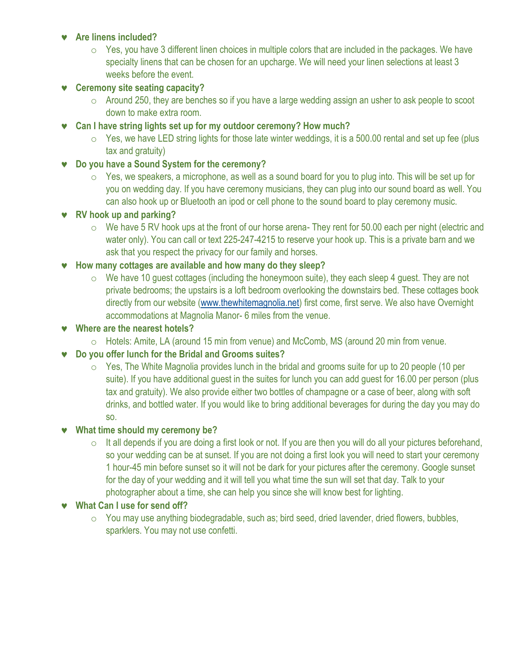#### $\bullet$  Are linens included?

 $\circ$  Yes, you have 3 different linen choices in multiple colors that are included in the packages. We have specialty linens that can be chosen for an upcharge. We will need your linen selections at least 3 weeks before the event.

### **v** Ceremony site seating capacity?

- o Around 250, they are benches so if you have a large wedding assign an usher to ask people to scoot down to make extra room.
- j **Can I have string lights set up for my outdoor ceremony? How much?**
	- $\circ$  Yes, we have LED string lights for those late winter weddings, it is a 500.00 rental and set up fee (plus tax and gratuity)

#### **v** Do you have a Sound System for the ceremony?

 $\circ$  Yes, we speakers, a microphone, as well as a sound board for you to plug into. This will be set up for you on wedding day. If you have ceremony musicians, they can plug into our sound board as well. You can also hook up or Bluetooth an ipod or cell phone to the sound board to play ceremony music.

#### j **RV hook up and parking?**

o We have 5 RV hook ups at the front of our horse arena- They rent for 50.00 each per night (electric and water only). You can call or text 225-247-4215 to reserve your hook up. This is a private barn and we ask that you respect the privacy for our family and horses.

#### $\bullet$  How many cottages are available and how many do they sleep?

- $\circ$  We have 10 guest cottages (including the honeymoon suite), they each sleep 4 guest. They are not private bedrooms; the upstairs is a loft bedroom overlooking the downstairs bed. These cottages book directly from our website [\(www.thewhitemagnolia.net\)](http://www.thewhitemagnolia.net/) first come, first serve. We also have Overnight accommodations at Magnolia Manor- 6 miles from the venue.
- **Where are the nearest hotels?** 
	- o Hotels: Amite, LA (around 15 min from venue) and McComb, MS (around 20 min from venue.

#### j **Do you offer lunch for the Bridal and Grooms suites?**

 $\circ$  Yes, The White Magnolia provides lunch in the bridal and grooms suite for up to 20 people (10 per suite). If you have additional guest in the suites for lunch you can add guest for 16.00 per person (plus tax and gratuity). We also provide either two bottles of champagne or a case of beer, along with soft drinks, and bottled water. If you would like to bring additional beverages for during the day you may do so.

#### **What time should my ceremony be?**

 $\circ$  It all depends if you are doing a first look or not. If you are then you will do all your pictures beforehand, so your wedding can be at sunset. If you are not doing a first look you will need to start your ceremony 1 hour-45 min before sunset so it will not be dark for your pictures after the ceremony. Google sunset for the day of your wedding and it will tell you what time the sun will set that day. Talk to your photographer about a time, she can help you since she will know best for lighting.

#### **v** What Can I use for send off?

o You may use anything biodegradable, such as; bird seed, dried lavender, dried flowers, bubbles, sparklers. You may not use confetti.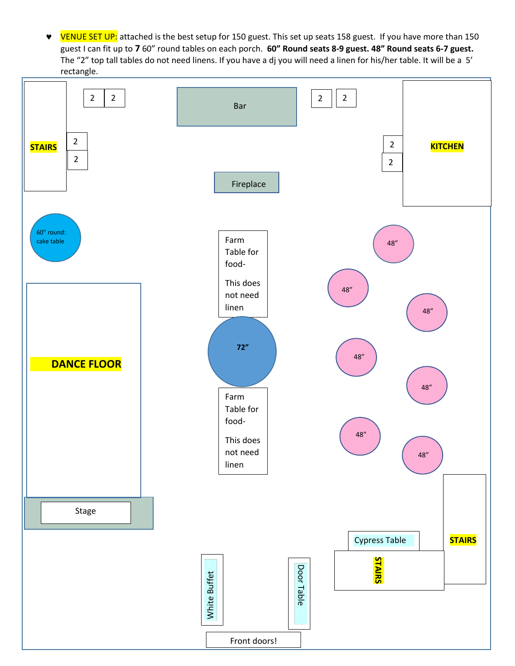**•** VENUE SET UP: attached is the best setup for 150 guest. This set up seats 158 guest. If you have more than 150 guest I can fit up to **7** 60" round tables on each porch. **60" Round seats 8-9 guest. 48" Round seats 6-7 guest.** The "2" top tall tables do not need linens. If you have a dj you will need a linen for his/her table. It will be a 5' rectangle.